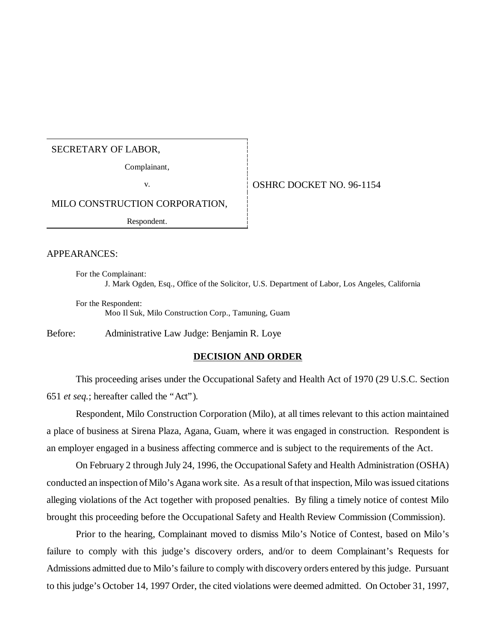### SECRETARY OF LABOR,

Complainant,

### v. 6. OSHRC DOCKET NO. 96-1154

MILO CONSTRUCTION CORPORATION,

Respondent.

### APPEARANCES:

For the Complainant: J. Mark Ogden, Esq., Office of the Solicitor, U.S. Department of Labor, Los Angeles, California

For the Respondent: Moo Il Suk, Milo Construction Corp., Tamuning, Guam

Before: Administrative Law Judge: Benjamin R. Loye

#### **DECISION AND ORDER**

This proceeding arises under the Occupational Safety and Health Act of 1970 (29 U.S.C. Section 651 *et seq.*; hereafter called the "Act").

Respondent, Milo Construction Corporation (Milo), at all times relevant to this action maintained a place of business at Sirena Plaza, Agana, Guam, where it was engaged in construction. Respondent is an employer engaged in a business affecting commerce and is subject to the requirements of the Act.

On February 2 through July 24, 1996, the Occupational Safety and Health Administration (OSHA) conducted an inspection of Milo's Agana work site. As a result of that inspection, Milo was issued citations alleging violations of the Act together with proposed penalties. By filing a timely notice of contest Milo brought this proceeding before the Occupational Safety and Health Review Commission (Commission).

Prior to the hearing, Complainant moved to dismiss Milo's Notice of Contest, based on Milo's failure to comply with this judge's discovery orders, and/or to deem Complainant's Requests for Admissions admitted due to Milo's failure to comply with discovery orders entered by this judge. Pursuant to this judge's October 14, 1997 Order, the cited violations were deemed admitted. On October 31, 1997,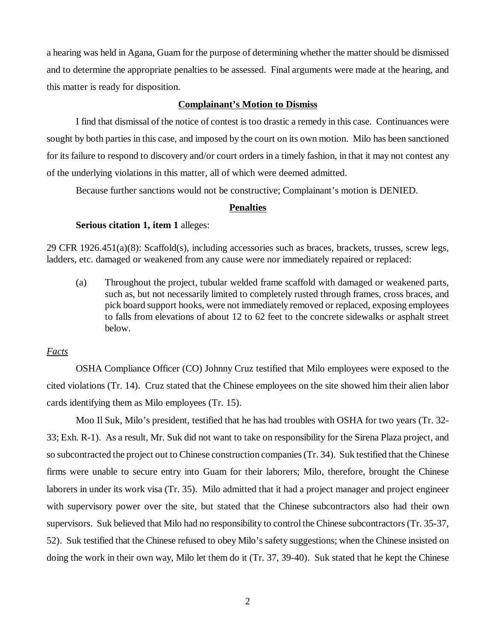a hearing was held in Agana, Guam for the purpose of determining whether the matter should be dismissed and to determine the appropriate penalties to be assessed. Final arguments were made at the hearing, and this matter is ready for disposition.

#### **Complainant's Motion to Dismiss**

I find that dismissal of the notice of contest is too drastic a remedy in this case. Continuances were sought by both parties in this case, and imposed by the court on its own motion. Milo has been sanctioned for its failure to respond to discovery and/or court orders in a timely fashion, in that it may not contest any of the underlying violations in this matter, all of which were deemed admitted.

Because further sanctions would not be constructive; Complainant's motion is DENIED.

#### **Penalties**

#### **Serious citation 1, item 1** alleges:

29 CFR 1926.451(a)(8): Scaffold(s), including accessories such as braces, brackets, trusses, screw legs, ladders, etc. damaged or weakened from any cause were nor immediately repaired or replaced:

(a) Throughout the project, tubular welded frame scaffold with damaged or weakened parts, such as, but not necessarily limited to completely rusted through frames, cross braces, and pick board support hooks, were not immediately removed or replaced, exposing employees to falls from elevations of about 12 to 62 feet to the concrete sidewalks or asphalt street below.

#### *Facts*

OSHA Compliance Officer (CO) Johnny Cruz testified that Milo employees were exposed to the cited violations (Tr. 14). Cruz stated that the Chinese employees on the site showed him their alien labor cards identifying them as Milo employees (Tr. 15).

Moo Il Suk, Milo's president, testified that he has had troubles with OSHA for two years (Tr. 32- 33; Exh. R-1). As a result, Mr. Suk did not want to take on responsibility for the Sirena Plaza project, and so subcontracted the project out to Chinese construction companies (Tr. 34). Suk testified that the Chinese firms were unable to secure entry into Guam for their laborers; Milo, therefore, brought the Chinese laborers in under its work visa (Tr. 35). Milo admitted that it had a project manager and project engineer with supervisory power over the site, but stated that the Chinese subcontractors also had their own supervisors. Suk believed that Milo had no responsibility to control the Chinese subcontractors (Tr. 35-37, 52). Suk testified that the Chinese refused to obey Milo's safety suggestions; when the Chinese insisted on doing the work in their own way, Milo let them do it (Tr. 37, 39-40). Suk stated that he kept the Chinese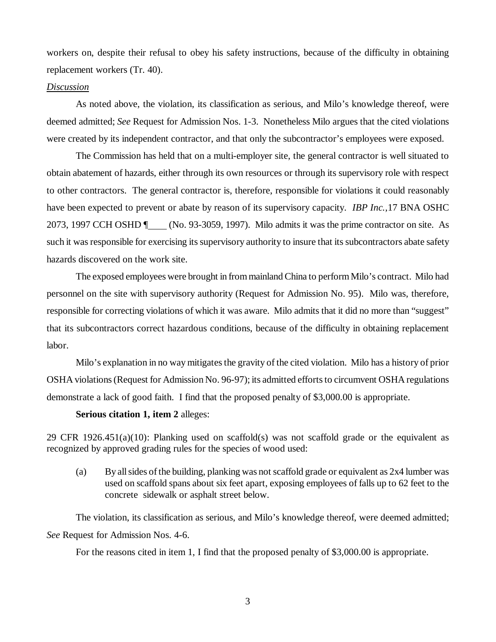workers on, despite their refusal to obey his safety instructions, because of the difficulty in obtaining replacement workers (Tr. 40).

#### *Discussion*

As noted above, the violation, its classification as serious, and Milo's knowledge thereof, were deemed admitted; *See* Request for Admission Nos. 1-3. Nonetheless Milo argues that the cited violations were created by its independent contractor, and that only the subcontractor's employees were exposed.

The Commission has held that on a multi-employer site, the general contractor is well situated to obtain abatement of hazards, either through its own resources or through its supervisory role with respect to other contractors. The general contractor is, therefore, responsible for violations it could reasonably have been expected to prevent or abate by reason of its supervisory capacity. *IBP Inc.,*17 BNA OSHC 2073, 1997 CCH OSHD  $\P$  (No. 93-3059, 1997). Milo admits it was the prime contractor on site. As such it was responsible for exercising its supervisory authority to insure that its subcontractors abate safety hazards discovered on the work site.

The exposed employees were brought in from mainland China to perform Milo's contract. Milo had personnel on the site with supervisory authority (Request for Admission No. 95). Milo was, therefore, responsible for correcting violations of which it was aware. Milo admits that it did no more than "suggest" that its subcontractors correct hazardous conditions, because of the difficulty in obtaining replacement labor.

Milo's explanation in no way mitigates the gravity of the cited violation. Milo has a history of prior OSHA violations (Request for Admission No. 96-97); its admitted efforts to circumvent OSHA regulations demonstrate a lack of good faith. I find that the proposed penalty of \$3,000.00 is appropriate.

#### **Serious citation 1, item 2** alleges:

29 CFR 1926.451(a)(10): Planking used on scaffold(s) was not scaffold grade or the equivalent as recognized by approved grading rules for the species of wood used:

(a) By all sides of the building, planking was not scaffold grade or equivalent as  $2x4$  lumber was used on scaffold spans about six feet apart, exposing employees of falls up to 62 feet to the concrete sidewalk or asphalt street below.

The violation, its classification as serious, and Milo's knowledge thereof, were deemed admitted; *See* Request for Admission Nos. 4-6.

For the reasons cited in item 1, I find that the proposed penalty of \$3,000.00 is appropriate.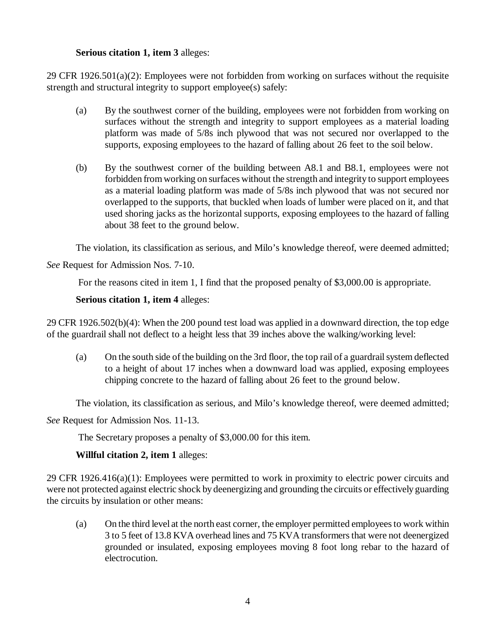## **Serious citation 1, item 3** alleges:

29 CFR 1926.501(a)(2): Employees were not forbidden from working on surfaces without the requisite strength and structural integrity to support employee(s) safely:

- (a) By the southwest corner of the building, employees were not forbidden from working on surfaces without the strength and integrity to support employees as a material loading platform was made of 5/8s inch plywood that was not secured nor overlapped to the supports, exposing employees to the hazard of falling about 26 feet to the soil below.
- (b) By the southwest corner of the building between A8.1 and B8.1, employees were not forbidden from working on surfaces without the strength and integrity to support employees as a material loading platform was made of 5/8s inch plywood that was not secured nor overlapped to the supports, that buckled when loads of lumber were placed on it, and that used shoring jacks as the horizontal supports, exposing employees to the hazard of falling about 38 feet to the ground below.

The violation, its classification as serious, and Milo's knowledge thereof, were deemed admitted;

*See* Request for Admission Nos. 7-10.

For the reasons cited in item 1, I find that the proposed penalty of \$3,000.00 is appropriate.

### **Serious citation 1, item 4** alleges:

29 CFR 1926.502(b)(4): When the 200 pound test load was applied in a downward direction, the top edge of the guardrail shall not deflect to a height less that 39 inches above the walking/working level:

(a) On the south side of the building on the 3rd floor, the top rail of a guardrail system deflected to a height of about 17 inches when a downward load was applied, exposing employees chipping concrete to the hazard of falling about 26 feet to the ground below.

The violation, its classification as serious, and Milo's knowledge thereof, were deemed admitted;

*See* Request for Admission Nos. 11-13.

The Secretary proposes a penalty of \$3,000.00 for this item.

# **Willful citation 2, item 1** alleges:

29 CFR 1926.416(a)(1): Employees were permitted to work in proximity to electric power circuits and were not protected against electric shock by deenergizing and grounding the circuits or effectively guarding the circuits by insulation or other means:

(a) On the third level at the north east corner, the employer permitted employees to work within 3 to 5 feet of 13.8 KVA overhead lines and 75 KVA transformers that were not deenergized grounded or insulated, exposing employees moving 8 foot long rebar to the hazard of electrocution.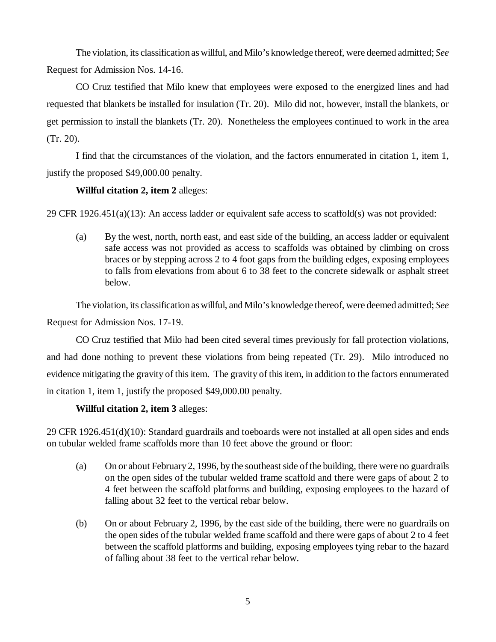The violation, its classification as willful, and Milo's knowledge thereof, were deemed admitted; *See* Request for Admission Nos. 14-16.

CO Cruz testified that Milo knew that employees were exposed to the energized lines and had requested that blankets be installed for insulation (Tr. 20). Milo did not, however, install the blankets, or get permission to install the blankets (Tr. 20). Nonetheless the employees continued to work in the area (Tr. 20).

I find that the circumstances of the violation, and the factors ennumerated in citation 1, item 1, justify the proposed \$49,000.00 penalty.

### **Willful citation 2, item 2** alleges:

29 CFR 1926.451(a)(13): An access ladder or equivalent safe access to scaffold(s) was not provided:

(a) By the west, north, north east, and east side of the building, an access ladder or equivalent safe access was not provided as access to scaffolds was obtained by climbing on cross braces or by stepping across 2 to 4 foot gaps from the building edges, exposing employees to falls from elevations from about 6 to 38 feet to the concrete sidewalk or asphalt street below.

The violation, its classification as willful, and Milo's knowledge thereof, were deemed admitted; *See* Request for Admission Nos. 17-19.

CO Cruz testified that Milo had been cited several times previously for fall protection violations, and had done nothing to prevent these violations from being repeated (Tr. 29). Milo introduced no evidence mitigating the gravity of this item. The gravity of this item, in addition to the factors ennumerated in citation 1, item 1, justify the proposed \$49,000.00 penalty.

# **Willful citation 2, item 3** alleges:

29 CFR 1926.451(d)(10): Standard guardrails and toeboards were not installed at all open sides and ends on tubular welded frame scaffolds more than 10 feet above the ground or floor:

- (a) On or about February 2, 1996, by the southeast side of the building, there were no guardrails on the open sides of the tubular welded frame scaffold and there were gaps of about 2 to 4 feet between the scaffold platforms and building, exposing employees to the hazard of falling about 32 feet to the vertical rebar below.
- (b) On or about February 2, 1996, by the east side of the building, there were no guardrails on the open sides of the tubular welded frame scaffold and there were gaps of about 2 to 4 feet between the scaffold platforms and building, exposing employees tying rebar to the hazard of falling about 38 feet to the vertical rebar below.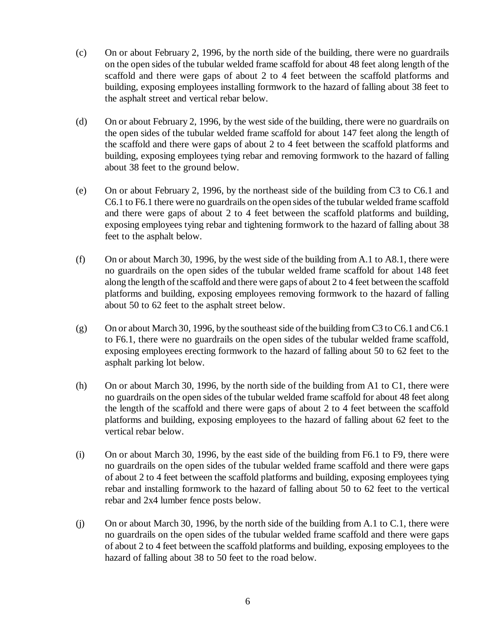- (c) On or about February 2, 1996, by the north side of the building, there were no guardrails on the open sides of the tubular welded frame scaffold for about 48 feet along length of the scaffold and there were gaps of about 2 to 4 feet between the scaffold platforms and building, exposing employees installing formwork to the hazard of falling about 38 feet to the asphalt street and vertical rebar below.
- (d) On or about February 2, 1996, by the west side of the building, there were no guardrails on the open sides of the tubular welded frame scaffold for about 147 feet along the length of the scaffold and there were gaps of about 2 to 4 feet between the scaffold platforms and building, exposing employees tying rebar and removing formwork to the hazard of falling about 38 feet to the ground below.
- (e) On or about February 2, 1996, by the northeast side of the building from C3 to C6.1 and C6.1 to F6.1 there were no guardrails on the open sides of the tubular welded frame scaffold and there were gaps of about 2 to 4 feet between the scaffold platforms and building, exposing employees tying rebar and tightening formwork to the hazard of falling about 38 feet to the asphalt below.
- (f) On or about March 30, 1996, by the west side of the building from A.1 to A8.1, there were no guardrails on the open sides of the tubular welded frame scaffold for about 148 feet along the length of the scaffold and there were gaps of about 2 to 4 feet between the scaffold platforms and building, exposing employees removing formwork to the hazard of falling about 50 to 62 feet to the asphalt street below.
- (g) On or about March 30, 1996, by the southeast side of the building from C3 to C6.1 and C6.1 to F6.1, there were no guardrails on the open sides of the tubular welded frame scaffold, exposing employees erecting formwork to the hazard of falling about 50 to 62 feet to the asphalt parking lot below.
- (h) On or about March 30, 1996, by the north side of the building from A1 to C1, there were no guardrails on the open sides of the tubular welded frame scaffold for about 48 feet along the length of the scaffold and there were gaps of about 2 to 4 feet between the scaffold platforms and building, exposing employees to the hazard of falling about 62 feet to the vertical rebar below.
- (i) On or about March 30, 1996, by the east side of the building from F6.1 to F9, there were no guardrails on the open sides of the tubular welded frame scaffold and there were gaps of about 2 to 4 feet between the scaffold platforms and building, exposing employees tying rebar and installing formwork to the hazard of falling about 50 to 62 feet to the vertical rebar and 2x4 lumber fence posts below.
- (j) On or about March 30, 1996, by the north side of the building from A.1 to C.1, there were no guardrails on the open sides of the tubular welded frame scaffold and there were gaps of about 2 to 4 feet between the scaffold platforms and building, exposing employees to the hazard of falling about 38 to 50 feet to the road below.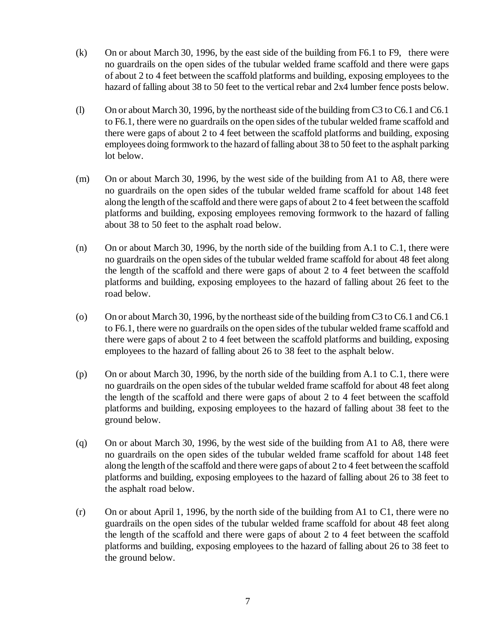- (k) On or about March 30, 1996, by the east side of the building from F6.1 to F9, there were no guardrails on the open sides of the tubular welded frame scaffold and there were gaps of about 2 to 4 feet between the scaffold platforms and building, exposing employees to the hazard of falling about 38 to 50 feet to the vertical rebar and 2x4 lumber fence posts below.
- (l) On or about March 30, 1996, by the northeast side of the building from C3 to C6.1 and C6.1 to F6.1, there were no guardrails on the open sides of the tubular welded frame scaffold and there were gaps of about 2 to 4 feet between the scaffold platforms and building, exposing employees doing formwork to the hazard of falling about 38 to 50 feet to the asphalt parking lot below.
- (m) On or about March 30, 1996, by the west side of the building from A1 to A8, there were no guardrails on the open sides of the tubular welded frame scaffold for about 148 feet along the length of the scaffold and there were gaps of about 2 to 4 feet between the scaffold platforms and building, exposing employees removing formwork to the hazard of falling about 38 to 50 feet to the asphalt road below.
- (n) On or about March 30, 1996, by the north side of the building from A.1 to C.1, there were no guardrails on the open sides of the tubular welded frame scaffold for about 48 feet along the length of the scaffold and there were gaps of about 2 to 4 feet between the scaffold platforms and building, exposing employees to the hazard of falling about 26 feet to the road below.
- (o) On or about March 30, 1996, by the northeast side of the building from C3 to C6.1 and C6.1 to F6.1, there were no guardrails on the open sides of the tubular welded frame scaffold and there were gaps of about 2 to 4 feet between the scaffold platforms and building, exposing employees to the hazard of falling about 26 to 38 feet to the asphalt below.
- (p) On or about March 30, 1996, by the north side of the building from A.1 to C.1, there were no guardrails on the open sides of the tubular welded frame scaffold for about 48 feet along the length of the scaffold and there were gaps of about 2 to 4 feet between the scaffold platforms and building, exposing employees to the hazard of falling about 38 feet to the ground below.
- (q) On or about March 30, 1996, by the west side of the building from A1 to A8, there were no guardrails on the open sides of the tubular welded frame scaffold for about 148 feet along the length of the scaffold and there were gaps of about 2 to 4 feet between the scaffold platforms and building, exposing employees to the hazard of falling about 26 to 38 feet to the asphalt road below.
- (r) On or about April 1, 1996, by the north side of the building from A1 to C1, there were no guardrails on the open sides of the tubular welded frame scaffold for about 48 feet along the length of the scaffold and there were gaps of about 2 to 4 feet between the scaffold platforms and building, exposing employees to the hazard of falling about 26 to 38 feet to the ground below.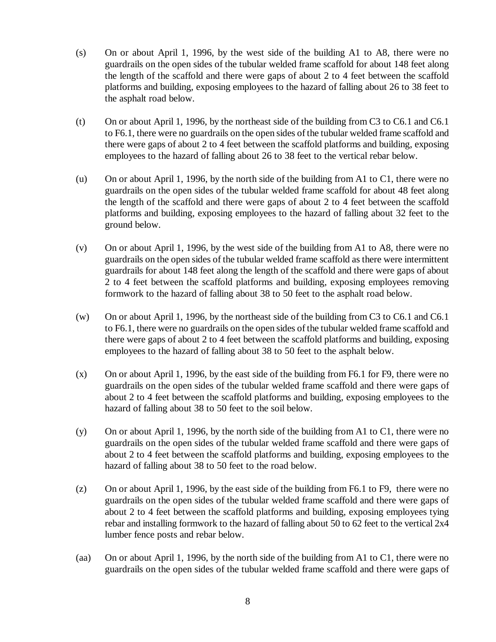- (s) On or about April 1, 1996, by the west side of the building A1 to A8, there were no guardrails on the open sides of the tubular welded frame scaffold for about 148 feet along the length of the scaffold and there were gaps of about 2 to 4 feet between the scaffold platforms and building, exposing employees to the hazard of falling about 26 to 38 feet to the asphalt road below.
- (t) On or about April 1, 1996, by the northeast side of the building from C3 to C6.1 and C6.1 to F6.1, there were no guardrails on the open sides of the tubular welded frame scaffold and there were gaps of about 2 to 4 feet between the scaffold platforms and building, exposing employees to the hazard of falling about 26 to 38 feet to the vertical rebar below.
- (u) On or about April 1, 1996, by the north side of the building from A1 to C1, there were no guardrails on the open sides of the tubular welded frame scaffold for about 48 feet along the length of the scaffold and there were gaps of about 2 to 4 feet between the scaffold platforms and building, exposing employees to the hazard of falling about 32 feet to the ground below.
- (v) On or about April 1, 1996, by the west side of the building from A1 to A8, there were no guardrails on the open sides of the tubular welded frame scaffold as there were intermittent guardrails for about 148 feet along the length of the scaffold and there were gaps of about 2 to 4 feet between the scaffold platforms and building, exposing employees removing formwork to the hazard of falling about 38 to 50 feet to the asphalt road below.
- (w) On or about April 1, 1996, by the northeast side of the building from C3 to C6.1 and C6.1 to F6.1, there were no guardrails on the open sides of the tubular welded frame scaffold and there were gaps of about 2 to 4 feet between the scaffold platforms and building, exposing employees to the hazard of falling about 38 to 50 feet to the asphalt below.
- (x) On or about April 1, 1996, by the east side of the building from F6.1 for F9, there were no guardrails on the open sides of the tubular welded frame scaffold and there were gaps of about 2 to 4 feet between the scaffold platforms and building, exposing employees to the hazard of falling about 38 to 50 feet to the soil below.
- (y) On or about April 1, 1996, by the north side of the building from A1 to C1, there were no guardrails on the open sides of the tubular welded frame scaffold and there were gaps of about 2 to 4 feet between the scaffold platforms and building, exposing employees to the hazard of falling about 38 to 50 feet to the road below.
- (z) On or about April 1, 1996, by the east side of the building from F6.1 to F9, there were no guardrails on the open sides of the tubular welded frame scaffold and there were gaps of about 2 to 4 feet between the scaffold platforms and building, exposing employees tying rebar and installing formwork to the hazard of falling about 50 to 62 feet to the vertical 2x4 lumber fence posts and rebar below.
- (aa) On or about April 1, 1996, by the north side of the building from A1 to C1, there were no guardrails on the open sides of the tubular welded frame scaffold and there were gaps of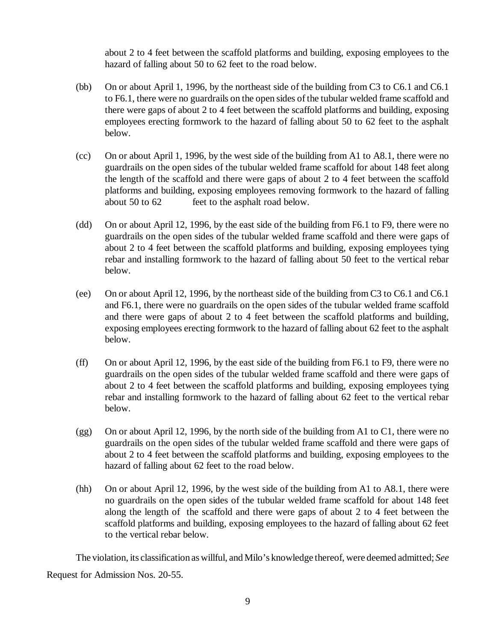about 2 to 4 feet between the scaffold platforms and building, exposing employees to the hazard of falling about 50 to 62 feet to the road below.

- (bb) On or about April 1, 1996, by the northeast side of the building from C3 to C6.1 and C6.1 to F6.1, there were no guardrails on the open sides of the tubular welded frame scaffold and there were gaps of about 2 to 4 feet between the scaffold platforms and building, exposing employees erecting formwork to the hazard of falling about 50 to 62 feet to the asphalt below.
- (cc) On or about April 1, 1996, by the west side of the building from A1 to A8.1, there were no guardrails on the open sides of the tubular welded frame scaffold for about 148 feet along the length of the scaffold and there were gaps of about 2 to 4 feet between the scaffold platforms and building, exposing employees removing formwork to the hazard of falling about 50 to 62 feet to the asphalt road below.
- (dd) On or about April 12, 1996, by the east side of the building from F6.1 to F9, there were no guardrails on the open sides of the tubular welded frame scaffold and there were gaps of about 2 to 4 feet between the scaffold platforms and building, exposing employees tying rebar and installing formwork to the hazard of falling about 50 feet to the vertical rebar below.
- (ee) On or about April 12, 1996, by the northeast side of the building from C3 to C6.1 and C6.1 and F6.1, there were no guardrails on the open sides of the tubular welded frame scaffold and there were gaps of about 2 to 4 feet between the scaffold platforms and building, exposing employees erecting formwork to the hazard of falling about 62 feet to the asphalt below.
- (ff) On or about April 12, 1996, by the east side of the building from F6.1 to F9, there were no guardrails on the open sides of the tubular welded frame scaffold and there were gaps of about 2 to 4 feet between the scaffold platforms and building, exposing employees tying rebar and installing formwork to the hazard of falling about 62 feet to the vertical rebar below.
- (gg) On or about April 12, 1996, by the north side of the building from A1 to C1, there were no guardrails on the open sides of the tubular welded frame scaffold and there were gaps of about 2 to 4 feet between the scaffold platforms and building, exposing employees to the hazard of falling about 62 feet to the road below.
- (hh) On or about April 12, 1996, by the west side of the building from A1 to A8.1, there were no guardrails on the open sides of the tubular welded frame scaffold for about 148 feet along the length of the scaffold and there were gaps of about 2 to 4 feet between the scaffold platforms and building, exposing employees to the hazard of falling about 62 feet to the vertical rebar below.

The violation, its classification as willful, and Milo's knowledge thereof, were deemed admitted; *See* Request for Admission Nos. 20-55.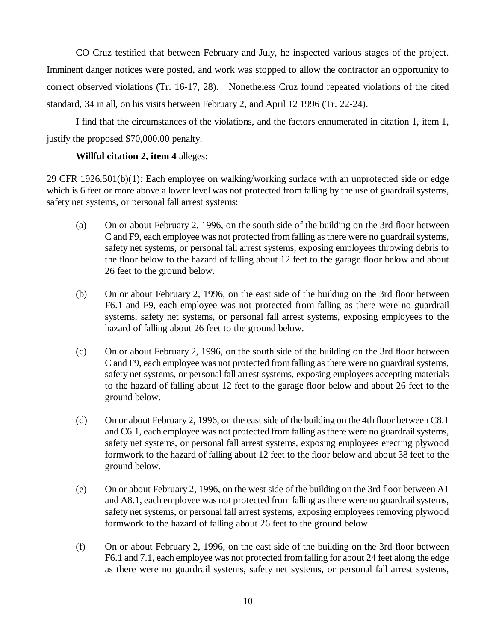CO Cruz testified that between February and July, he inspected various stages of the project. Imminent danger notices were posted, and work was stopped to allow the contractor an opportunity to correct observed violations (Tr. 16-17, 28). Nonetheless Cruz found repeated violations of the cited standard, 34 in all, on his visits between February 2, and April 12 1996 (Tr. 22-24).

I find that the circumstances of the violations, and the factors ennumerated in citation 1, item 1, justify the proposed \$70,000.00 penalty.

### **Willful citation 2, item 4** alleges:

29 CFR 1926.501(b)(1): Each employee on walking/working surface with an unprotected side or edge which is 6 feet or more above a lower level was not protected from falling by the use of guardrail systems, safety net systems, or personal fall arrest systems:

- (a) On or about February 2, 1996, on the south side of the building on the 3rd floor between C and F9, each employee was not protected from falling as there were no guardrail systems, safety net systems, or personal fall arrest systems, exposing employees throwing debris to the floor below to the hazard of falling about 12 feet to the garage floor below and about 26 feet to the ground below.
- (b) On or about February 2, 1996, on the east side of the building on the 3rd floor between F6.1 and F9, each employee was not protected from falling as there were no guardrail systems, safety net systems, or personal fall arrest systems, exposing employees to the hazard of falling about 26 feet to the ground below.
- (c) On or about February 2, 1996, on the south side of the building on the 3rd floor between C and F9, each employee was not protected from falling as there were no guardrail systems, safety net systems, or personal fall arrest systems, exposing employees accepting materials to the hazard of falling about 12 feet to the garage floor below and about 26 feet to the ground below.
- (d) On or about February 2, 1996, on the east side of the building on the 4th floor between C8.1 and C6.1, each employee was not protected from falling as there were no guardrail systems, safety net systems, or personal fall arrest systems, exposing employees erecting plywood formwork to the hazard of falling about 12 feet to the floor below and about 38 feet to the ground below.
- (e) On or about February 2, 1996, on the west side of the building on the 3rd floor between A1 and A8.1, each employee was not protected from falling as there were no guardrail systems, safety net systems, or personal fall arrest systems, exposing employees removing plywood formwork to the hazard of falling about 26 feet to the ground below.
- (f) On or about February 2, 1996, on the east side of the building on the 3rd floor between F6.1 and 7.1, each employee was not protected from falling for about 24 feet along the edge as there were no guardrail systems, safety net systems, or personal fall arrest systems,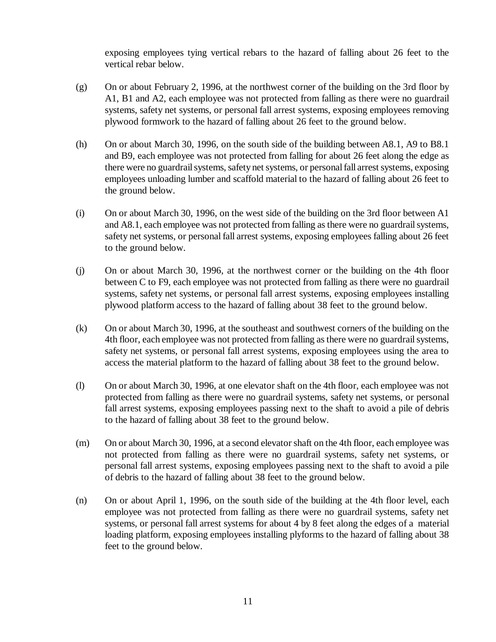exposing employees tying vertical rebars to the hazard of falling about 26 feet to the vertical rebar below.

- (g) On or about February 2, 1996, at the northwest corner of the building on the 3rd floor by A1, B1 and A2, each employee was not protected from falling as there were no guardrail systems, safety net systems, or personal fall arrest systems, exposing employees removing plywood formwork to the hazard of falling about 26 feet to the ground below.
- (h) On or about March 30, 1996, on the south side of the building between A8.1, A9 to B8.1 and B9, each employee was not protected from falling for about 26 feet along the edge as there were no guardrail systems, safety net systems, or personal fall arrest systems, exposing employees unloading lumber and scaffold material to the hazard of falling about 26 feet to the ground below.
- (i) On or about March 30, 1996, on the west side of the building on the 3rd floor between A1 and A8.1, each employee was not protected from falling as there were no guardrail systems, safety net systems, or personal fall arrest systems, exposing employees falling about 26 feet to the ground below.
- (j) On or about March 30, 1996, at the northwest corner or the building on the 4th floor between C to F9, each employee was not protected from falling as there were no guardrail systems, safety net systems, or personal fall arrest systems, exposing employees installing plywood platform access to the hazard of falling about 38 feet to the ground below.
- (k) On or about March 30, 1996, at the southeast and southwest corners of the building on the 4th floor, each employee was not protected from falling as there were no guardrail systems, safety net systems, or personal fall arrest systems, exposing employees using the area to access the material platform to the hazard of falling about 38 feet to the ground below.
- (l) On or about March 30, 1996, at one elevator shaft on the 4th floor, each employee was not protected from falling as there were no guardrail systems, safety net systems, or personal fall arrest systems, exposing employees passing next to the shaft to avoid a pile of debris to the hazard of falling about 38 feet to the ground below.
- (m) On or about March 30, 1996, at a second elevator shaft on the 4th floor, each employee was not protected from falling as there were no guardrail systems, safety net systems, or personal fall arrest systems, exposing employees passing next to the shaft to avoid a pile of debris to the hazard of falling about 38 feet to the ground below.
- (n) On or about April 1, 1996, on the south side of the building at the 4th floor level, each employee was not protected from falling as there were no guardrail systems, safety net systems, or personal fall arrest systems for about 4 by 8 feet along the edges of a material loading platform, exposing employees installing plyforms to the hazard of falling about 38 feet to the ground below.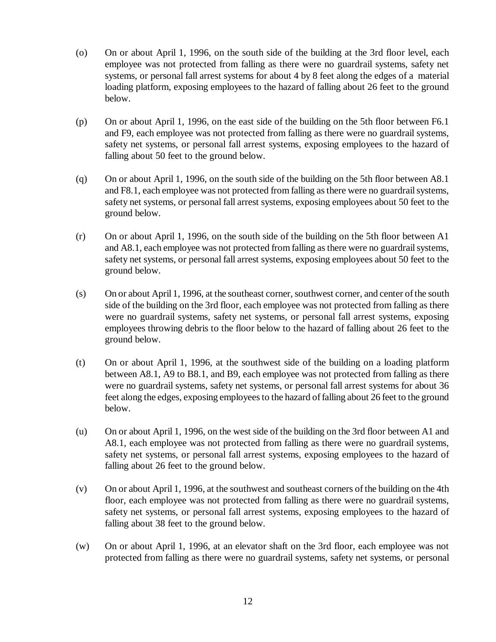- (o) On or about April 1, 1996, on the south side of the building at the 3rd floor level, each employee was not protected from falling as there were no guardrail systems, safety net systems, or personal fall arrest systems for about 4 by 8 feet along the edges of a material loading platform, exposing employees to the hazard of falling about 26 feet to the ground below.
- (p) On or about April 1, 1996, on the east side of the building on the 5th floor between F6.1 and F9, each employee was not protected from falling as there were no guardrail systems, safety net systems, or personal fall arrest systems, exposing employees to the hazard of falling about 50 feet to the ground below.
- (q) On or about April 1, 1996, on the south side of the building on the 5th floor between A8.1 and F8.1, each employee was not protected from falling as there were no guardrail systems, safety net systems, or personal fall arrest systems, exposing employees about 50 feet to the ground below.
- (r) On or about April 1, 1996, on the south side of the building on the 5th floor between A1 and A8.1, each employee was not protected from falling as there were no guardrail systems, safety net systems, or personal fall arrest systems, exposing employees about 50 feet to the ground below.
- (s) On or about April 1, 1996, at the southeast corner, southwest corner, and center of the south side of the building on the 3rd floor, each employee was not protected from falling as there were no guardrail systems, safety net systems, or personal fall arrest systems, exposing employees throwing debris to the floor below to the hazard of falling about 26 feet to the ground below.
- (t) On or about April 1, 1996, at the southwest side of the building on a loading platform between A8.1, A9 to B8.1, and B9, each employee was not protected from falling as there were no guardrail systems, safety net systems, or personal fall arrest systems for about 36 feet along the edges, exposing employees to the hazard of falling about 26 feet to the ground below.
- (u) On or about April 1, 1996, on the west side of the building on the 3rd floor between A1 and A8.1, each employee was not protected from falling as there were no guardrail systems, safety net systems, or personal fall arrest systems, exposing employees to the hazard of falling about 26 feet to the ground below.
- (v) On or about April 1, 1996, at the southwest and southeast corners of the building on the 4th floor, each employee was not protected from falling as there were no guardrail systems, safety net systems, or personal fall arrest systems, exposing employees to the hazard of falling about 38 feet to the ground below.
- (w) On or about April 1, 1996, at an elevator shaft on the 3rd floor, each employee was not protected from falling as there were no guardrail systems, safety net systems, or personal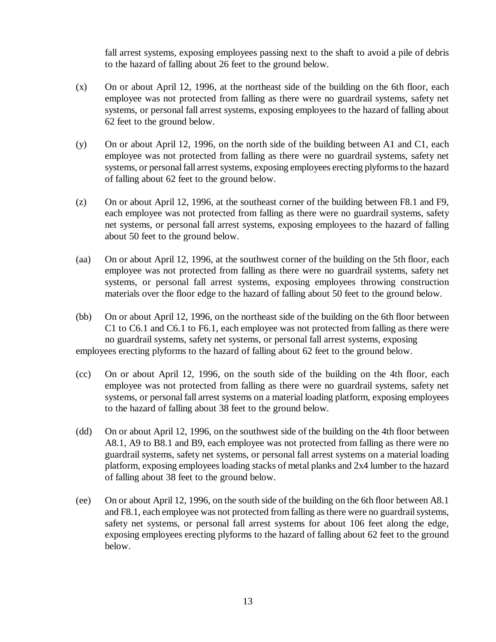fall arrest systems, exposing employees passing next to the shaft to avoid a pile of debris to the hazard of falling about 26 feet to the ground below.

- (x) On or about April 12, 1996, at the northeast side of the building on the 6th floor, each employee was not protected from falling as there were no guardrail systems, safety net systems, or personal fall arrest systems, exposing employees to the hazard of falling about 62 feet to the ground below.
- (y) On or about April 12, 1996, on the north side of the building between A1 and C1, each employee was not protected from falling as there were no guardrail systems, safety net systems, or personal fall arrest systems, exposing employees erecting plyforms to the hazard of falling about 62 feet to the ground below.
- (z) On or about April 12, 1996, at the southeast corner of the building between F8.1 and F9, each employee was not protected from falling as there were no guardrail systems, safety net systems, or personal fall arrest systems, exposing employees to the hazard of falling about 50 feet to the ground below.
- (aa) On or about April 12, 1996, at the southwest corner of the building on the 5th floor, each employee was not protected from falling as there were no guardrail systems, safety net systems, or personal fall arrest systems, exposing employees throwing construction materials over the floor edge to the hazard of falling about 50 feet to the ground below.
- (bb) On or about April 12, 1996, on the northeast side of the building on the 6th floor between C1 to C6.1 and C6.1 to F6.1, each employee was not protected from falling as there were no guardrail systems, safety net systems, or personal fall arrest systems, exposing employees erecting plyforms to the hazard of falling about 62 feet to the ground below.
- (cc) On or about April 12, 1996, on the south side of the building on the 4th floor, each employee was not protected from falling as there were no guardrail systems, safety net systems, or personal fall arrest systems on a material loading platform, exposing employees to the hazard of falling about 38 feet to the ground below.
- (dd) On or about April 12, 1996, on the southwest side of the building on the 4th floor between A8.1, A9 to B8.1 and B9, each employee was not protected from falling as there were no guardrail systems, safety net systems, or personal fall arrest systems on a material loading platform, exposing employees loading stacks of metal planks and 2x4 lumber to the hazard of falling about 38 feet to the ground below.
- (ee) On or about April 12, 1996, on the south side of the building on the 6th floor between A8.1 and F8.1, each employee was not protected from falling as there were no guardrail systems, safety net systems, or personal fall arrest systems for about 106 feet along the edge, exposing employees erecting plyforms to the hazard of falling about 62 feet to the ground below.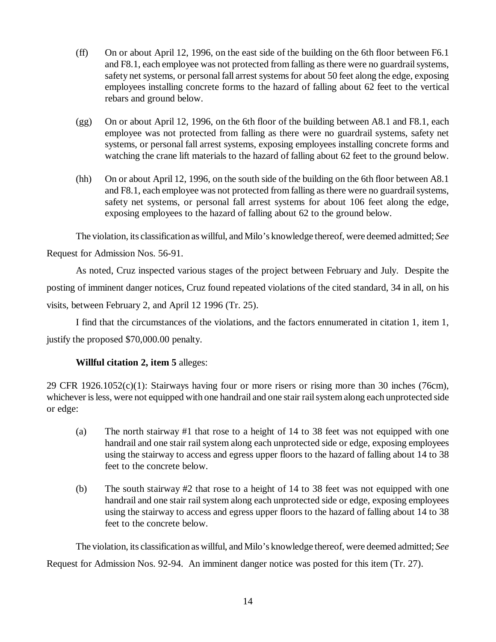- (ff) On or about April 12, 1996, on the east side of the building on the 6th floor between F6.1 and F8.1, each employee was not protected from falling as there were no guardrail systems, safety net systems, or personal fall arrest systems for about 50 feet along the edge, exposing employees installing concrete forms to the hazard of falling about 62 feet to the vertical rebars and ground below.
- (gg) On or about April 12, 1996, on the 6th floor of the building between A8.1 and F8.1, each employee was not protected from falling as there were no guardrail systems, safety net systems, or personal fall arrest systems, exposing employees installing concrete forms and watching the crane lift materials to the hazard of falling about 62 feet to the ground below.
- (hh) On or about April 12, 1996, on the south side of the building on the 6th floor between A8.1 and F8.1, each employee was not protected from falling as there were no guardrail systems, safety net systems, or personal fall arrest systems for about 106 feet along the edge, exposing employees to the hazard of falling about 62 to the ground below.

The violation, its classification as willful, and Milo's knowledge thereof, were deemed admitted; *See* Request for Admission Nos. 56-91.

As noted, Cruz inspected various stages of the project between February and July. Despite the posting of imminent danger notices, Cruz found repeated violations of the cited standard, 34 in all, on his visits, between February 2, and April 12 1996 (Tr. 25).

I find that the circumstances of the violations, and the factors ennumerated in citation 1, item 1, justify the proposed \$70,000.00 penalty.

# **Willful citation 2, item 5** alleges:

29 CFR 1926.1052(c)(1): Stairways having four or more risers or rising more than 30 inches (76cm), whichever is less, were not equipped with one handrail and one stair rail system along each unprotected side or edge:

- (a) The north stairway #1 that rose to a height of 14 to 38 feet was not equipped with one handrail and one stair rail system along each unprotected side or edge, exposing employees using the stairway to access and egress upper floors to the hazard of falling about 14 to 38 feet to the concrete below.
- (b) The south stairway #2 that rose to a height of 14 to 38 feet was not equipped with one handrail and one stair rail system along each unprotected side or edge, exposing employees using the stairway to access and egress upper floors to the hazard of falling about 14 to 38 feet to the concrete below.

The violation, its classification as willful, and Milo's knowledge thereof, were deemed admitted; *See* Request for Admission Nos. 92-94. An imminent danger notice was posted for this item (Tr. 27).